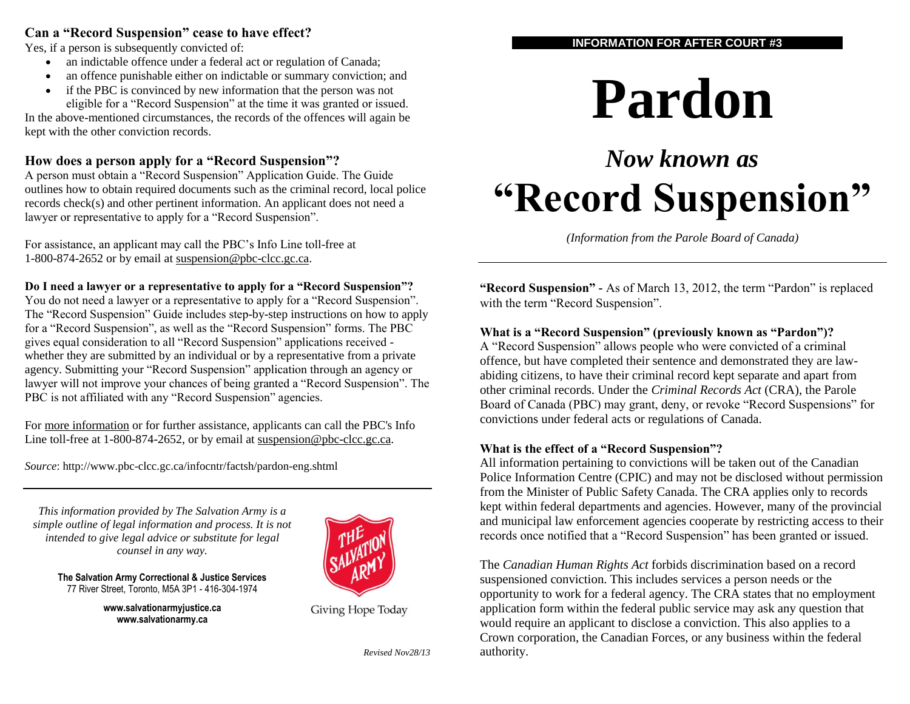#### **Can a "Record Suspension" cease to have effect?**

Yes, if a person is subsequently convicted of:

- an indictable offence under a federal act or regulation of Canada;
- an offence punishable either on indictable or summary conviction; and
- if the PBC is convinced by new information that the person was not eligible for a "Record Suspension" at the time it was granted or issued.

In the above-mentioned circumstances, the records of the offences will again be kept with the other conviction records.

# **How does a person apply for a "Record Suspension"?**

A person must obtain a "Record Suspension" Application Guide. The Guide outlines how to obtain required documents such as the criminal record, local police records check(s) and other pertinent information. An applicant does not need a lawyer or representative to apply for a "Record Suspension".

For assistance, an applicant may call the PBC's Info Line toll-free at 1-800-874-2652 or by email at [suspension@pbc-clcc.gc.ca.](mailto:suspension@pbc-clcc.gc.ca)

#### **Do I need a lawyer or a representative to apply for a "Record Suspension"?**

You do not need a lawyer or a representative to apply for a "Record Suspension". The "Record Suspension" Guide includes step-by-step instructions on how to apply for a "Record Suspension", as well as the "Record Suspension" forms. The PBC gives equal consideration to all "Record Suspension" applications received whether they are submitted by an individual or by a representative from a private agency. Submitting your "Record Suspension" application through an agency or lawyer will not improve your chances of being granted a "Record Suspension". The PBC is not affiliated with any "Record Suspension" agencies.

For [more information](http://www.pbc-clcc.gc.ca/prdons/fcts-eng.shtml) or for further assistance, applicants can call the PBC's Info Line toll-free at 1-800-874-2652, or by email at [suspension@pbc-clcc.gc.ca.](mailto:suspension@pbc-clcc.gc.ca)

*Source*: http://www.pbc-clcc.gc.ca/infocntr/factsh/pardon-eng.shtml

*This information provided by The Salvation Army is a simple outline of legal information and process. It is not intended to give legal advice or substitute for legal counsel in any way.*



**The Salvation Army Correctional & Justice Services** 77 River Street, Toronto, M5A 3P1 - 416-304-1974

> **www.salvationarmyjustice.ca www.salvationarmy.ca**

Giving Hope Today

*Revised Nov28/13*

#### **INFORMATION FOR AFTER COURT #3**

# **Pardon**

# *Now known as*  **"Record Suspension"**

*(Information from the Parole Board of Canada)*

**"Record Suspension" -** As of March 13, 2012, the term "Pardon" is replaced with the term "Record Suspension".

#### **What is a "Record Suspension" (previously known as "Pardon")?**

A "Record Suspension" allows people who were convicted of a criminal offence, but have completed their sentence and demonstrated they are lawabiding citizens, to have their criminal record kept separate and apart from other criminal records. Under the *Criminal Records Act* (CRA), the Parole Board of Canada (PBC) may grant, deny, or revoke "Record Suspensions" for convictions under federal acts or regulations of Canada.

#### **What is the effect of a "Record Suspension"?**

All information pertaining to convictions will be taken out of the Canadian Police Information Centre (CPIC) and may not be disclosed without permission from the Minister of Public Safety Canada. The CRA applies only to records kept within federal departments and agencies. However, many of the provincial and municipal law enforcement agencies cooperate by restricting access to their records once notified that a "Record Suspension" has been granted or issued.

The *Canadian Human Rights Act* forbids discrimination based on a record suspensioned conviction. This includes services a person needs or the opportunity to work for a federal agency. The CRA states that no employment application form within the federal public service may ask any question that would require an applicant to disclose a conviction. This also applies to a Crown corporation, the Canadian Forces, or any business within the federal authority.